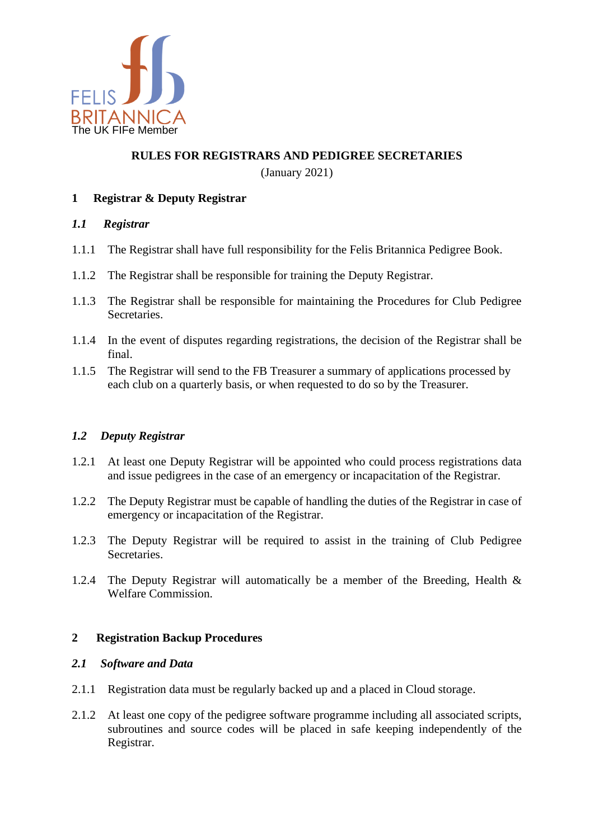

## **RULES FOR REGISTRARS AND PEDIGREE SECRETARIES**

(January 2021)

# **1 Registrar & Deputy Registrar**

### *1.1 Registrar*

- 1.1.1 The Registrar shall have full responsibility for the Felis Britannica Pedigree Book.
- 1.1.2 The Registrar shall be responsible for training the Deputy Registrar.
- 1.1.3 The Registrar shall be responsible for maintaining the Procedures for Club Pedigree **Secretaries**
- 1.1.4 In the event of disputes regarding registrations, the decision of the Registrar shall be final.
- 1.1.5 The Registrar will send to the FB Treasurer a summary of applications processed by each club on a quarterly basis, or when requested to do so by the Treasurer.

## *1.2 Deputy Registrar*

- 1.2.1 At least one Deputy Registrar will be appointed who could process registrations data and issue pedigrees in the case of an emergency or incapacitation of the Registrar.
- 1.2.2 The Deputy Registrar must be capable of handling the duties of the Registrar in case of emergency or incapacitation of the Registrar.
- 1.2.3 The Deputy Registrar will be required to assist in the training of Club Pedigree **Secretaries**
- 1.2.4 The Deputy Registrar will automatically be a member of the Breeding, Health & Welfare Commission.

## **2 Registration Backup Procedures**

#### *2.1 Software and Data*

- 2.1.1 Registration data must be regularly backed up and a placed in Cloud storage.
- 2.1.2 At least one copy of the pedigree software programme including all associated scripts, subroutines and source codes will be placed in safe keeping independently of the Registrar.